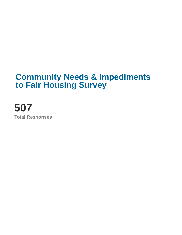# **Community Needs & Impediments to Fair Housing Survey**

**507 Total Responses**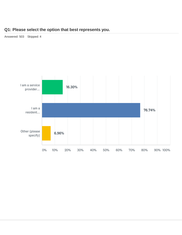### **Q1: Please select the option that best represents you.**

Answered: 503 Skipped: 4

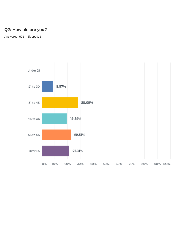# **Q2: How old are you?**

Answered: 502 Skipped: 5

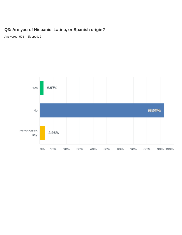# **Q3: Are you of Hispanic, Latino, or Spanish origin?**

Answered: 505 Skipped: 2

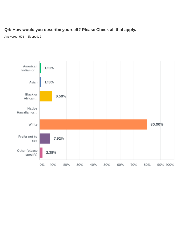### **Q4: How would you describe yourself? Please Check all that apply.**

Answered: 505 Skipped: 2

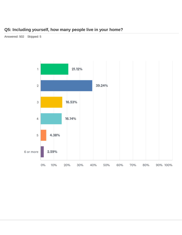# **Q5: Including yourself, how many people live in your home?**

Answered: 502 Skipped: 5

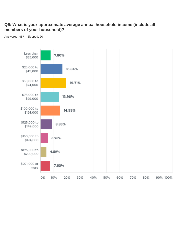### **Q6: What is your approximate average annual household income (include all members of your household)?**

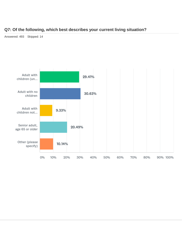### **Q7: Of the following, which best describes your current living situation?**

Answered: 493 Skipped: 14

![](_page_7_Figure_2.jpeg)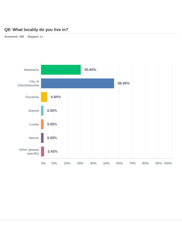## **Q8: What locality do you live in?**

Answered: 496 Skipped: 11

![](_page_8_Figure_2.jpeg)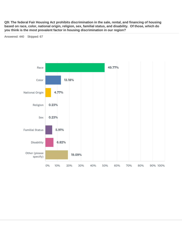**Q9: The federal Fair Housing Act prohibits discrimination in the sale, rental, and financing of housing based on race, color, national origin, religion, sex, familial status, and disability. Of those, which do you think is the most prevalent factor in housing discrimination in our region?**

Answered: 440 Skipped: 67

![](_page_9_Figure_2.jpeg)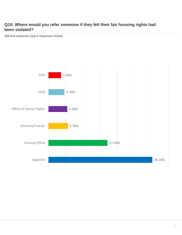### **Q10: Where would you refer someone if they felt their fair housing rights had been violated?**

384 free responses (top 6 responses shown)

![](_page_10_Figure_2.jpeg)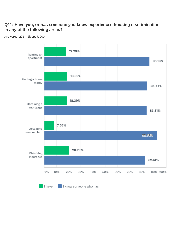### **Q11: Have you, or has someone you know experienced housing discrimination in any of the following areas?**

![](_page_11_Figure_1.jpeg)

 $\blacksquare$  I have I know someone who has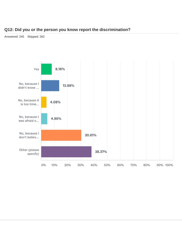#### **Q12: Did you or the person you know report the discrimination?**

Answered: 245 Skipped: 262

![](_page_12_Figure_2.jpeg)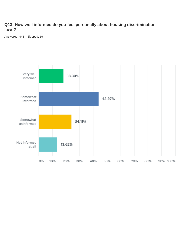### **Q13: How well informed do you feel personally about housing discrimination laws?**

Answered: 448 Skipped: 59

![](_page_13_Figure_2.jpeg)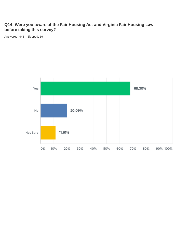### **Q14: Were you aware of the Fair Housing Act and Virginia Fair Housing Law before taking this survey?**

Answered: 448 Skipped: 59

![](_page_14_Figure_2.jpeg)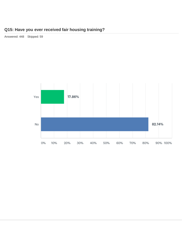# **Q15: Have you ever received fair housing training?**

Answered: 448 Skipped: 59

![](_page_15_Figure_2.jpeg)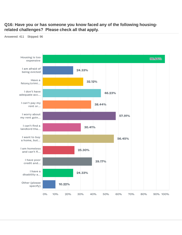#### **Q16: Have you or has someone you know faced any of the following housingrelated challenges? Please check all that apply.**

![](_page_16_Figure_1.jpeg)

Answered: 411 Skipped: 96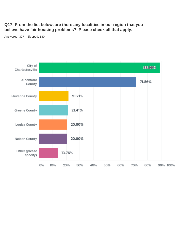### **Q17: From the list below, are there any localities in our region that you believe have fair housing problems? Please check all that apply.**

Answered: 327 Skipped: 180

![](_page_17_Figure_2.jpeg)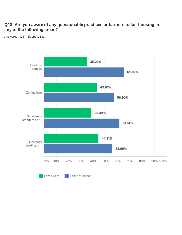### **Q18: Are you aware of any questionable practices or barriers to fair housing in any of the following areas?**

![](_page_18_Figure_1.jpeg)

Answered: 376 Skipped: 131

I am aware I am not aware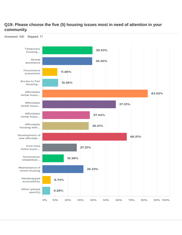### **Q19: Please choose the five (5) housing issues most in need of attention in your community.**

![](_page_19_Figure_1.jpeg)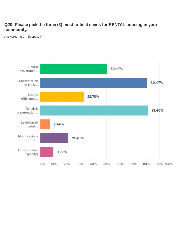### **Q20: Please pick the three (3) most critical needs for RENTAL housing in your community.**

Answered: 430 Skipped: 77

![](_page_20_Figure_2.jpeg)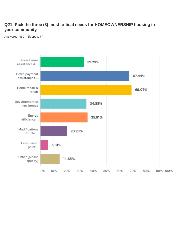### **Q21: Pick the three (3) most critical needs for HOMEOWNERSHIP housing in your community.**

Answered: 430 Skipped: 77

![](_page_21_Figure_2.jpeg)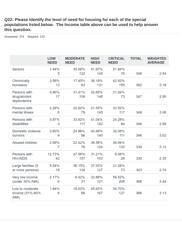### **Q22: Please identify the level of need for housing for each of the special populations listed below. The Income table above can be used to help answer this question.**

Answered: 374 Skipped: 133

|                                            | LOW<br><b>NEED</b> | <b>MODERATE</b><br><b>NEED</b> | <b>HIGH</b><br><b>NEED</b> | <b>CRITICAL</b><br><b>NEED</b> | <b>TOTAL</b> | <b>WEIGHTED</b><br><b>AVERAGE</b> |
|--------------------------------------------|--------------------|--------------------------------|----------------------------|--------------------------------|--------------|-----------------------------------|
| Seniors                                    | 1.44%<br>5         | 35.06%<br>122                  | 41.67%<br>145              | 21.84%<br>76                   | 348          | 2.84                              |
| Chronically<br>homeless                    | 3.59%<br>13        | 17.40%<br>63                   | 36.19%<br>131              | 42.82%<br>155                  | 362          | 3.18                              |
| Persons with<br>drug/alcohol<br>dependence | 4.90%<br>17        | 31.41%<br>109                  | 42.65%<br>148              | 21.04%<br>73                   | 347          | 2.80                              |
| Persons with<br>mental illness             | 2.29%<br>8         | 22.64%<br>79                   | 41.55%<br>145              | 33.52%<br>117                  | 349          | 3.06                              |
| Persons with<br>disabilities               | 0.87%<br>3         | 33.82%<br>117                  | 41.04%<br>142              | 24.28%<br>84                   | 346          | 2.89                              |
| Domestic violence<br>surviors              | 2.60%<br>9         | 24.86%<br>86                   | 40.46%<br>140              | 32.08%<br>111                  | 346          | 3.02                              |
| Abused children                            | 2.06%<br>7         | 22.42%<br>76                   | 36.58%<br>124              | 38.94%<br>132                  | 339          | 3.12                              |
| Persons with<br><b>HIV/AIDS</b>            | 12.73%<br>42       | 47.58%<br>157                  | 31.21%<br>103              | 8.48%<br>28                    | 330          | 2.35                              |
| Large families (5<br>or more persons)      | 5.54%<br>19        | 36.15%<br>124                  | 37.03%<br>127              | 21.28%<br>73                   | 343          | 2.74                              |
| Very low income<br>(under 30% AMI)         | 2.17%<br>8         | 8.42%<br>31                    | 32.88%<br>121              | 56.52%<br>208                  | 368          | 3.44                              |
| Low to moderate<br>income (51%-80%<br>AMI) | 1.64%<br>6         | 18.03%<br>66                   | 45.63%<br>167              | 34.70%<br>127                  | 366          | 3.13                              |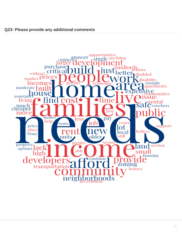![](_page_23_Figure_1.jpeg)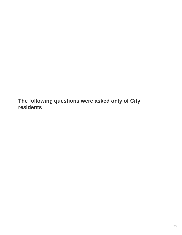**The following questions were asked only of City residents**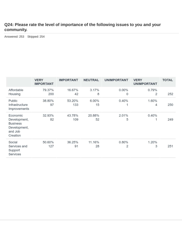### **Q24: Please rate the level of importance of the following issues to you and your community.**

Answered: 253 Skipped: 254

|                                                                                    | <b>VERY</b><br><b>IMPORTANT</b> | <b>IMPORTANT</b> | <b>NEUTRAL</b> | <b>UNIMPORTANT</b> | <b>VERY</b><br><b>UNIMPORTANT</b> | <b>TOTAL</b> |
|------------------------------------------------------------------------------------|---------------------------------|------------------|----------------|--------------------|-----------------------------------|--------------|
| Affordable<br>Housing                                                              | 79.37%<br>200                   | 16.67%<br>42     | 3.17%<br>8     | $0.00\%$<br>0      | 0.79%<br>2                        | 252          |
| Public<br>Infrastructure<br>Improvements                                           | 38.80%<br>97                    | 53.20%<br>133    | 6.00%<br>15    | 0.40%              | 1.60%<br>4                        | 250          |
| Economic<br>Development,<br><b>Business</b><br>Development,<br>and Job<br>Creation | 32.93%<br>82                    | 43.78%<br>109    | 20.88%<br>52   | 2.01%<br>5         | 0.40%<br>1                        | 249          |
| Social<br>Services and<br>Support<br>Services                                      | 50.60%<br>127                   | 36.25%<br>91     | 11.16%<br>28   | 0.80%<br>2         | 1.20%<br>3                        | 251          |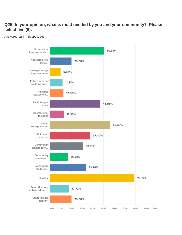### **Q25: In your opinion, what is most needed by you and your community? Please select five (5).**

![](_page_26_Figure_1.jpeg)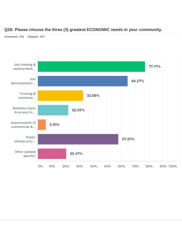#### **Q26: Please choose the three (3) greatest ECONOMIC needs in your community.**

Answered: 254 Skipped: 253

![](_page_27_Figure_2.jpeg)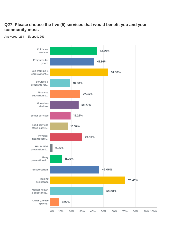### **Q27: Please choose the five (5) services that would benefit you and your community most.**

![](_page_28_Figure_1.jpeg)